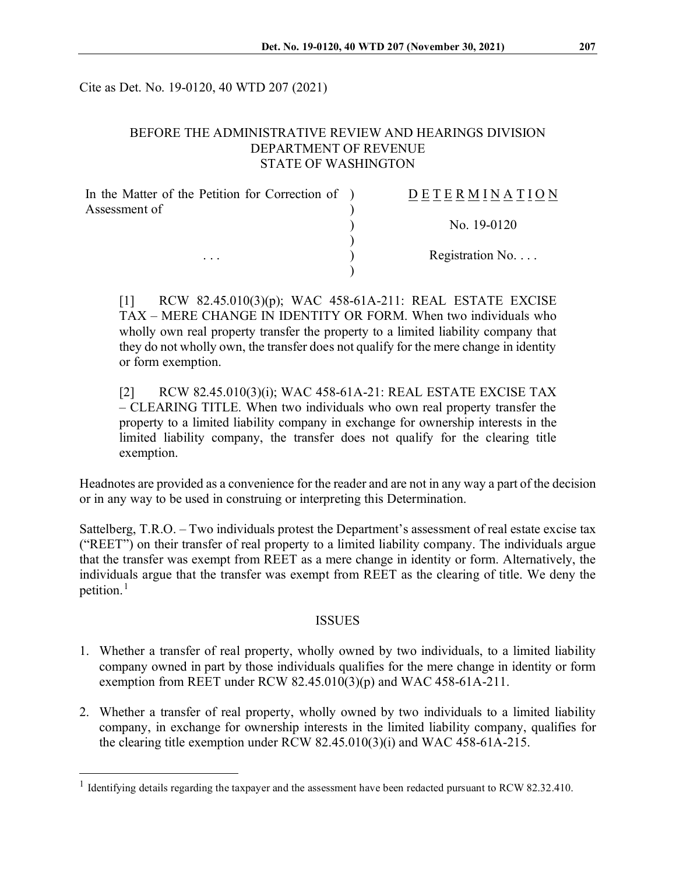Cite as Det. No. 19-0120, 40 WTD 207 (2021)

#### BEFORE THE ADMINISTRATIVE REVIEW AND HEARINGS DIVISION DEPARTMENT OF REVENUE STATE OF WASHINGTON

| In the Matter of the Petition for Correction of ) | <b>DETERMINATION</b>     |
|---------------------------------------------------|--------------------------|
| Assessment of                                     |                          |
|                                                   | No. 19-0120              |
|                                                   |                          |
| $\cdots$                                          | Registration No. $\dots$ |
|                                                   |                          |

[1] RCW 82.45.010(3)(p); WAC 458-61A-211: REAL ESTATE EXCISE TAX – MERE CHANGE IN IDENTITY OR FORM. When two individuals who wholly own real property transfer the property to a limited liability company that they do not wholly own, the transfer does not qualify for the mere change in identity or form exemption.

[2] RCW 82.45.010(3)(i); WAC 458-61A-21: REAL ESTATE EXCISE TAX – CLEARING TITLE. When two individuals who own real property transfer the property to a limited liability company in exchange for ownership interests in the limited liability company, the transfer does not qualify for the clearing title exemption.

Headnotes are provided as a convenience for the reader and are not in any way a part of the decision or in any way to be used in construing or interpreting this Determination.

Sattelberg, T.R.O. – Two individuals protest the Department's assessment of real estate excise tax ("REET") on their transfer of real property to a limited liability company. The individuals argue that the transfer was exempt from REET as a mere change in identity or form. Alternatively, the individuals argue that the transfer was exempt from REET as the clearing of title. We deny the petition.<sup>[1](#page-0-0)</sup>

#### ISSUES

- 1. Whether a transfer of real property, wholly owned by two individuals, to a limited liability company owned in part by those individuals qualifies for the mere change in identity or form exemption from REET under RCW  $82.45.010(3)(p)$  and WAC 458-61A-211.
- 2. Whether a transfer of real property, wholly owned by two individuals to a limited liability company, in exchange for ownership interests in the limited liability company, qualifies for the clearing title exemption under RCW 82.45.010(3)(i) and WAC 458-61A-215.

<span id="page-0-0"></span><sup>&</sup>lt;sup>1</sup> Identifying details regarding the taxpayer and the assessment have been redacted pursuant to RCW 82.32.410.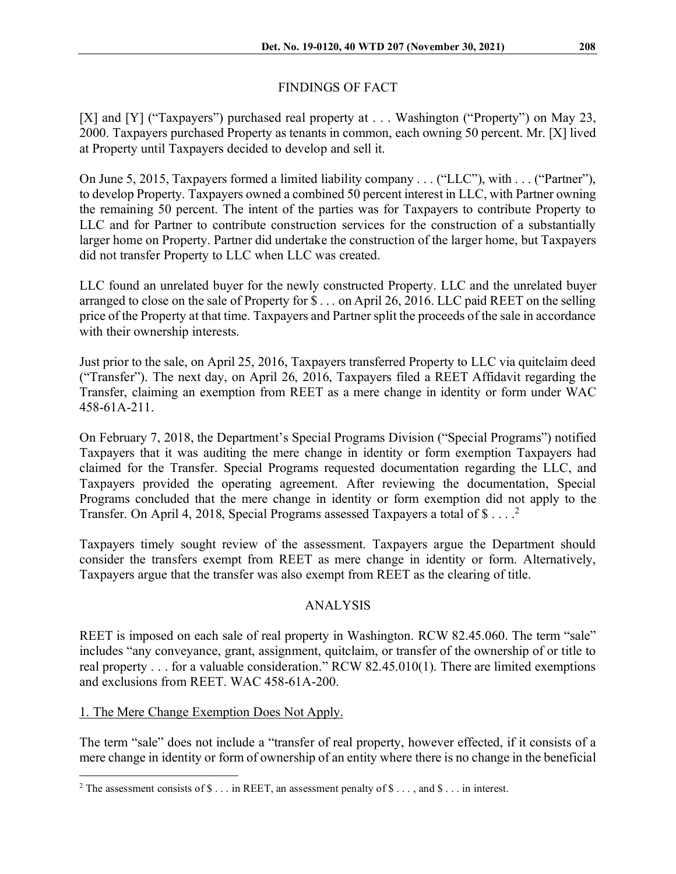# FINDINGS OF FACT

[X] and [Y] ("Taxpayers") purchased real property at . . . Washington ("Property") on May 23, 2000. Taxpayers purchased Property as tenants in common, each owning 50 percent. Mr. [X] lived at Property until Taxpayers decided to develop and sell it.

On June 5, 2015, Taxpayers formed a limited liability company . . . ("LLC"), with . . . ("Partner"), to develop Property. Taxpayers owned a combined 50 percent interest in LLC, with Partner owning the remaining 50 percent. The intent of the parties was for Taxpayers to contribute Property to LLC and for Partner to contribute construction services for the construction of a substantially larger home on Property. Partner did undertake the construction of the larger home, but Taxpayers did not transfer Property to LLC when LLC was created.

LLC found an unrelated buyer for the newly constructed Property. LLC and the unrelated buyer arranged to close on the sale of Property for \$ . . . on April 26, 2016. LLC paid REET on the selling price of the Property at that time. Taxpayers and Partner split the proceeds of the sale in accordance with their ownership interests.

Just prior to the sale, on April 25, 2016, Taxpayers transferred Property to LLC via quitclaim deed ("Transfer"). The next day, on April 26, 2016, Taxpayers filed a REET Affidavit regarding the Transfer, claiming an exemption from REET as a mere change in identity or form under WAC 458-61A-211.

On February 7, 2018, the Department's Special Programs Division ("Special Programs") notified Taxpayers that it was auditing the mere change in identity or form exemption Taxpayers had claimed for the Transfer. Special Programs requested documentation regarding the LLC, and Taxpayers provided the operating agreement. After reviewing the documentation, Special Programs concluded that the mere change in identity or form exemption did not apply to the Transfer. On April 4, [2](#page-1-0)018, Special Programs assessed Taxpayers a total of \$ $\dots$ .

Taxpayers timely sought review of the assessment. Taxpayers argue the Department should consider the transfers exempt from REET as mere change in identity or form. Alternatively, Taxpayers argue that the transfer was also exempt from REET as the clearing of title.

## ANALYSIS

REET is imposed on each sale of real property in Washington. RCW 82.45.060. The term "sale" includes "any conveyance, grant, assignment, quitclaim, or transfer of the ownership of or title to real property . . . for a valuable consideration." RCW 82.45.010(1). There are limited exemptions and exclusions from REET. WAC 458-61A-200.

## 1. The Mere Change Exemption Does Not Apply.

The term "sale" does not include a "transfer of real property, however effected, if it consists of a mere change in identity or form of ownership of an entity where there is no change in the beneficial

<span id="page-1-0"></span><sup>&</sup>lt;sup>2</sup> The assessment consists of  $\$\dots$  in REET, an assessment penalty of  $\$\dots$ , and  $\$\dots$  in interest.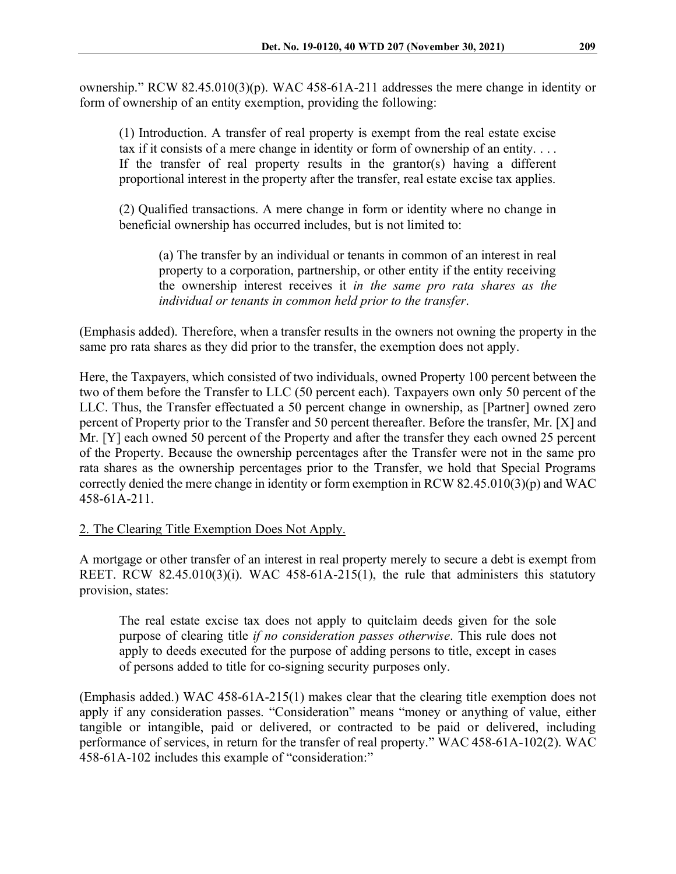ownership." RCW 82.45.010(3)(p). WAC 458-61A-211 addresses the mere change in identity or form of ownership of an entity exemption, providing the following:

(1) Introduction. A transfer of real property is exempt from the real estate excise tax if it consists of a mere change in identity or form of ownership of an entity. . . . If the transfer of real property results in the grantor(s) having a different proportional interest in the property after the transfer, real estate excise tax applies.

(2) Qualified transactions. A mere change in form or identity where no change in beneficial ownership has occurred includes, but is not limited to:

(a) The transfer by an individual or tenants in common of an interest in real property to a corporation, partnership, or other entity if the entity receiving the ownership interest receives it *in the same pro rata shares as the individual or tenants in common held prior to the transfer*.

(Emphasis added). Therefore, when a transfer results in the owners not owning the property in the same pro rata shares as they did prior to the transfer, the exemption does not apply.

Here, the Taxpayers, which consisted of two individuals, owned Property 100 percent between the two of them before the Transfer to LLC (50 percent each). Taxpayers own only 50 percent of the LLC. Thus, the Transfer effectuated a 50 percent change in ownership, as [Partner] owned zero percent of Property prior to the Transfer and 50 percent thereafter. Before the transfer, Mr. [X] and Mr. [Y] each owned 50 percent of the Property and after the transfer they each owned 25 percent of the Property. Because the ownership percentages after the Transfer were not in the same pro rata shares as the ownership percentages prior to the Transfer, we hold that Special Programs correctly denied the mere change in identity or form exemption in RCW 82.45.010(3)(p) and WAC 458-61A-211.

## 2. The Clearing Title Exemption Does Not Apply.

A mortgage or other transfer of an interest in real property merely to secure a debt is exempt from REET. RCW 82.45.010(3)(i). WAC 458-61A-215(1), the rule that administers this statutory provision, states:

The real estate excise tax does not apply to quitclaim deeds given for the sole purpose of clearing title *if no consideration passes otherwise*. This rule does not apply to deeds executed for the purpose of adding persons to title, except in cases of persons added to title for co-signing security purposes only.

(Emphasis added.) WAC 458-61A-215(1) makes clear that the clearing title exemption does not apply if any consideration passes. "Consideration" means "money or anything of value, either tangible or intangible, paid or delivered, or contracted to be paid or delivered, including performance of services, in return for the transfer of real property." WAC 458-61A-102(2). WAC 458-61A-102 includes this example of "consideration:"